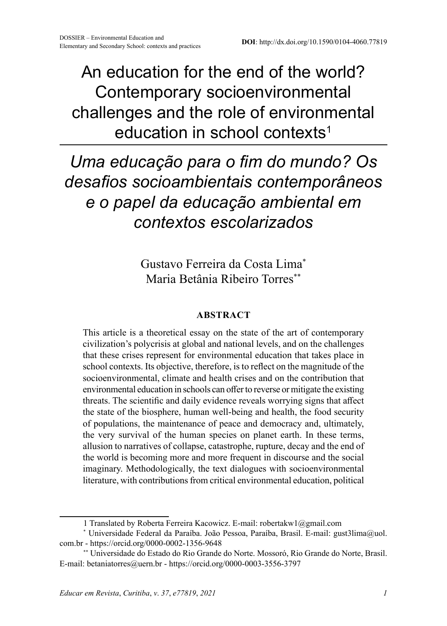# An education for the end of the world? Contemporary socioenvironmental challenges and the role of environmental education in school contexts<sup>1</sup>

# *Uma educação para o fim do mundo? Os desafios socioambientais contemporâneos e o papel da educação ambiental em contextos escolarizados*

Gustavo Ferreira da Costa Lima\* Maria Betânia Ribeiro Torres\*\*

#### **ABSTRACT**

This article is a theoretical essay on the state of the art of contemporary civilization's polycrisis at global and national levels, and on the challenges that these crises represent for environmental education that takes place in school contexts. Its objective, therefore, is to reflect on the magnitude of the socioenvironmental, climate and health crises and on the contribution that environmental education in schools can offer to reverse or mitigate the existing threats. The scientific and daily evidence reveals worrying signs that affect the state of the biosphere, human well-being and health, the food security of populations, the maintenance of peace and democracy and, ultimately, the very survival of the human species on planet earth. In these terms, allusion to narratives of collapse, catastrophe, rupture, decay and the end of the world is becoming more and more frequent in discourse and the social imaginary. Methodologically, the text dialogues with socioenvironmental literature, with contributions from critical environmental education, political

<sup>1</sup> Translated by Roberta Ferreira Kacowicz. E-mail: robertakw1@gmail.com

<sup>\*</sup> Universidade Federal da Paraíba. João Pessoa, Paraíba, Brasil. E-mail: gust3lima@uol. com.br - https://orcid.org/0000-0002-1356-9648

<sup>\*\*</sup> Universidade do Estado do Rio Grande do Norte. Mossoró, Rio Grande do Norte, Brasil. E-mail: betaniatorres@uern.br - https://orcid.org/0000-0003-3556-3797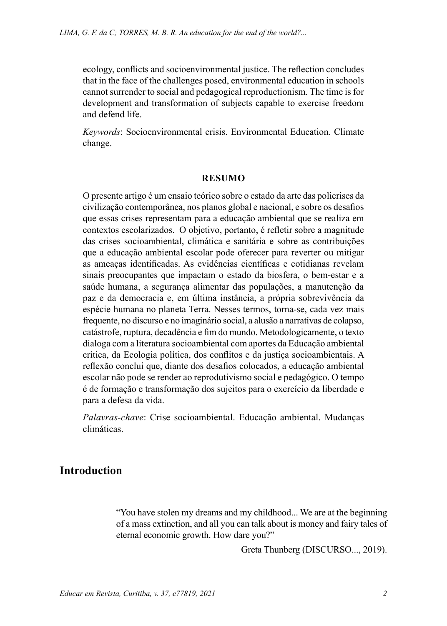ecology, conflicts and socioenvironmental justice. The reflection concludes that in the face of the challenges posed, environmental education in schools cannot surrender to social and pedagogical reproductionism. The time is for development and transformation of subjects capable to exercise freedom and defend life.

*Keywords*: Socioenvironmental crisis. Environmental Education. Climate change.

#### **RESUMO**

O presente artigo é um ensaio teórico sobre o estado da arte das policrises da civilização contemporânea, nos planos global e nacional, e sobre os desafios que essas crises representam para a educação ambiental que se realiza em contextos escolarizados. O objetivo, portanto, é refletir sobre a magnitude das crises socioambiental, climática e sanitária e sobre as contribuições que a educação ambiental escolar pode oferecer para reverter ou mitigar as ameaças identificadas. As evidências científicas e cotidianas revelam sinais preocupantes que impactam o estado da biosfera, o bem-estar e a saúde humana, a segurança alimentar das populações, a manutenção da paz e da democracia e, em última instância, a própria sobrevivência da espécie humana no planeta Terra. Nesses termos, torna-se, cada vez mais frequente, no discurso e no imaginário social, a alusão a narrativas de colapso, catástrofe, ruptura, decadência e fim do mundo. Metodologicamente, o texto dialoga com a literatura socioambiental com aportes da Educação ambiental crítica, da Ecologia política, dos conflitos e da justiça socioambientais. A reflexão conclui que, diante dos desafios colocados, a educação ambiental escolar não pode se render ao reprodutivismo social e pedagógico. O tempo é de formação e transformação dos sujeitos para o exercício da liberdade e para a defesa da vida.

*Palavras-chave*: Crise socioambiental. Educação ambiental. Mudanças climáticas.

#### **Introduction**

"You have stolen my dreams and my childhood... We are at the beginning of a mass extinction, and all you can talk about is money and fairy tales of eternal economic growth. How dare you?"

Greta Thunberg (DISCURSO..., 2019).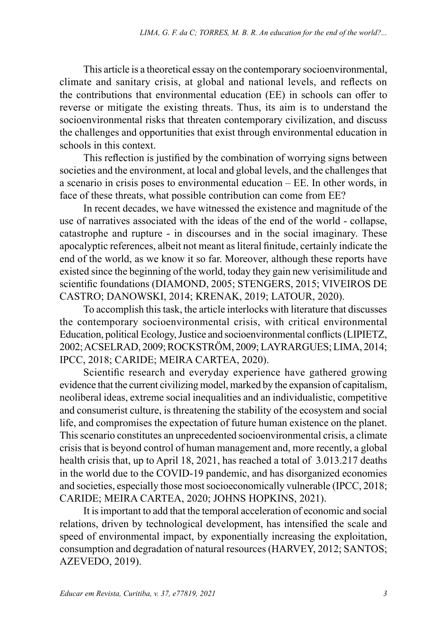This article is a theoretical essay on the contemporary socioenvironmental, climate and sanitary crisis, at global and national levels, and reflects on the contributions that environmental education (EE) in schools can offer to reverse or mitigate the existing threats. Thus, its aim is to understand the socioenvironmental risks that threaten contemporary civilization, and discuss the challenges and opportunities that exist through environmental education in schools in this context.

This reflection is justified by the combination of worrying signs between societies and the environment, at local and global levels, and the challenges that a scenario in crisis poses to environmental education – EE. In other words, in face of these threats, what possible contribution can come from EE?

In recent decades, we have witnessed the existence and magnitude of the use of narratives associated with the ideas of the end of the world - collapse, catastrophe and rupture - in discourses and in the social imaginary. These apocalyptic references, albeit not meant as literal finitude, certainly indicate the end of the world, as we know it so far. Moreover, although these reports have existed since the beginning of the world, today they gain new verisimilitude and scientific foundations (DIAMOND, 2005; STENGERS, 2015; VIVEIROS DE CASTRO; DANOWSKI, 2014; KRENAK, 2019; LATOUR, 2020).

To accomplish this task, the article interlocks with literature that discusses the contemporary socioenvironmental crisis, with critical environmental Education, political Ecology, Justice and socioenvironmental conflicts (LIPIETZ, 2002; ACSELRAD, 2009; ROCKSTRÖM, 2009; LAYRARGUES; LIMA, 2014; IPCC, 2018; CARIDE; MEIRA CARTEA, 2020).

Scientific research and everyday experience have gathered growing evidence that the current civilizing model, marked by the expansion of capitalism, neoliberal ideas, extreme social inequalities and an individualistic, competitive and consumerist culture, is threatening the stability of the ecosystem and social life, and compromises the expectation of future human existence on the planet. This scenario constitutes an unprecedented socioenvironmental crisis, a climate crisis that is beyond control of human management and, more recently, a global health crisis that, up to April 18, 2021, has reached a total of 3.013.217 deaths in the world due to the COVID-19 pandemic, and has disorganized economies and societies, especially those most socioeconomically vulnerable (IPCC, 2018; CARIDE; MEIRA CARTEA, 2020; JOHNS HOPKINS, 2021).

It is important to add that the temporal acceleration of economic and social relations, driven by technological development, has intensified the scale and speed of environmental impact, by exponentially increasing the exploitation, consumption and degradation of natural resources (HARVEY, 2012; SANTOS; AZEVEDO, 2019).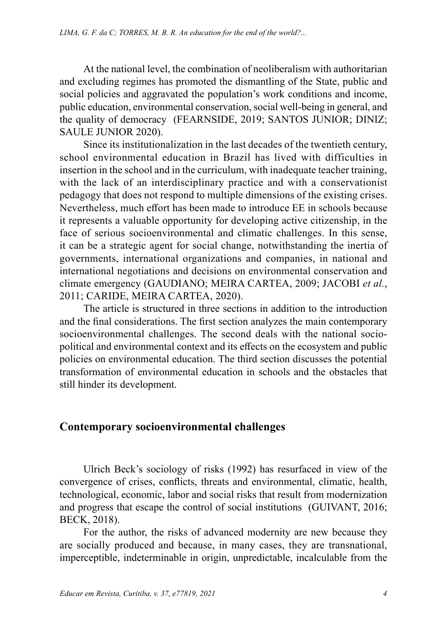At the national level, the combination of neoliberalism with authoritarian and excluding regimes has promoted the dismantling of the State, public and social policies and aggravated the population's work conditions and income, public education, environmental conservation, social well-being in general, and the quality of democracy (FEARNSIDE, 2019; SANTOS JUNIOR; DINIZ; SAULE JUNIOR 2020).

Since its institutionalization in the last decades of the twentieth century, school environmental education in Brazil has lived with difficulties in insertion in the school and in the curriculum, with inadequate teacher training, with the lack of an interdisciplinary practice and with a conservationist pedagogy that does not respond to multiple dimensions of the existing crises. Nevertheless, much effort has been made to introduce EE in schools because it represents a valuable opportunity for developing active citizenship, in the face of serious socioenvironmental and climatic challenges. In this sense, it can be a strategic agent for social change, notwithstanding the inertia of governments, international organizations and companies, in national and international negotiations and decisions on environmental conservation and climate emergency (GAUDIANO; MEIRA CARTEA, 2009; JACOBI *et al.*, 2011; CARIDE, MEIRA CARTEA, 2020).

The article is structured in three sections in addition to the introduction and the final considerations. The first section analyzes the main contemporary socioenvironmental challenges. The second deals with the national sociopolitical and environmental context and its effects on the ecosystem and public policies on environmental education. The third section discusses the potential transformation of environmental education in schools and the obstacles that still hinder its development.

#### **Contemporary socioenvironmental challenges**

Ulrich Beck's sociology of risks (1992) has resurfaced in view of the convergence of crises, conflicts, threats and environmental, climatic, health, technological, economic, labor and social risks that result from modernization and progress that escape the control of social institutions (GUIVANT, 2016; BECK, 2018).

For the author, the risks of advanced modernity are new because they are socially produced and because, in many cases, they are transnational, imperceptible, indeterminable in origin, unpredictable, incalculable from the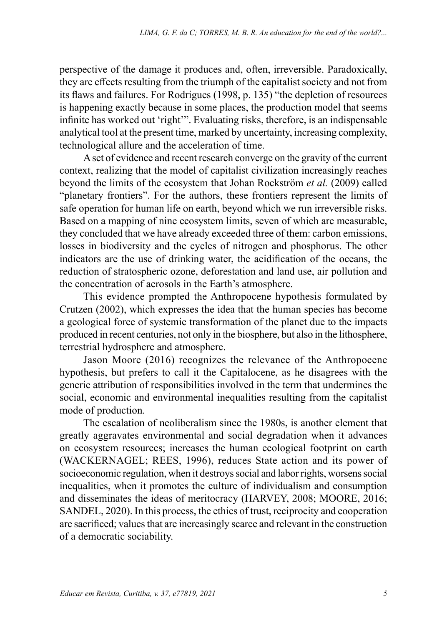perspective of the damage it produces and, often, irreversible. Paradoxically, they are effects resulting from the triumph of the capitalist society and not from its flaws and failures. For Rodrigues (1998, p. 135) "the depletion of resources is happening exactly because in some places, the production model that seems infinite has worked out 'right'". Evaluating risks, therefore, is an indispensable analytical tool at the present time, marked by uncertainty, increasing complexity, technological allure and the acceleration of time.

A set of evidence and recent research converge on the gravity of the current context, realizing that the model of capitalist civilization increasingly reaches beyond the limits of the ecosystem that Johan Rockström *et al.* (2009) called "planetary frontiers". For the authors, these frontiers represent the limits of safe operation for human life on earth, beyond which we run irreversible risks. Based on a mapping of nine ecosystem limits, seven of which are measurable, they concluded that we have already exceeded three of them: carbon emissions, losses in biodiversity and the cycles of nitrogen and phosphorus. The other indicators are the use of drinking water, the acidification of the oceans, the reduction of stratospheric ozone, deforestation and land use, air pollution and the concentration of aerosols in the Earth's atmosphere.

This evidence prompted the Anthropocene hypothesis formulated by Crutzen (2002), which expresses the idea that the human species has become a geological force of systemic transformation of the planet due to the impacts produced in recent centuries, not only in the biosphere, but also in the lithosphere, terrestrial hydrosphere and atmosphere.

Jason Moore (2016) recognizes the relevance of the Anthropocene hypothesis, but prefers to call it the Capitalocene, as he disagrees with the generic attribution of responsibilities involved in the term that undermines the social, economic and environmental inequalities resulting from the capitalist mode of production.

The escalation of neoliberalism since the 1980s, is another element that greatly aggravates environmental and social degradation when it advances on ecosystem resources; increases the human ecological footprint on earth (WACKERNAGEL; REES, 1996), reduces State action and its power of socioeconomic regulation, when it destroys social and labor rights, worsens social inequalities, when it promotes the culture of individualism and consumption and disseminates the ideas of meritocracy (HARVEY, 2008; MOORE, 2016; SANDEL, 2020). In this process, the ethics of trust, reciprocity and cooperation are sacrificed; values that are increasingly scarce and relevant in the construction of a democratic sociability.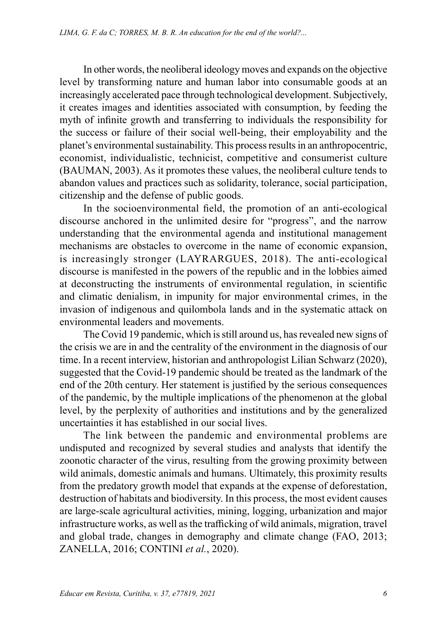In other words, the neoliberal ideology moves and expands on the objective level by transforming nature and human labor into consumable goods at an increasingly accelerated pace through technological development. Subjectively, it creates images and identities associated with consumption, by feeding the myth of infinite growth and transferring to individuals the responsibility for the success or failure of their social well-being, their employability and the planet's environmental sustainability. This process results in an anthropocentric, economist, individualistic, technicist, competitive and consumerist culture (BAUMAN, 2003). As it promotes these values, the neoliberal culture tends to abandon values and practices such as solidarity, tolerance, social participation, citizenship and the defense of public goods.

In the socioenvironmental field, the promotion of an anti-ecological discourse anchored in the unlimited desire for "progress", and the narrow understanding that the environmental agenda and institutional management mechanisms are obstacles to overcome in the name of economic expansion, is increasingly stronger (LAYRARGUES, 2018). The anti-ecological discourse is manifested in the powers of the republic and in the lobbies aimed at deconstructing the instruments of environmental regulation, in scientific and climatic denialism, in impunity for major environmental crimes, in the invasion of indigenous and quilombola lands and in the systematic attack on environmental leaders and movements.

The Covid 19 pandemic, which is still around us, has revealed new signs of the crisis we are in and the centrality of the environment in the diagnosis of our time. In a recent interview, historian and anthropologist Lilian Schwarz (2020), suggested that the Covid-19 pandemic should be treated as the landmark of the end of the 20th century. Her statement is justified by the serious consequences of the pandemic, by the multiple implications of the phenomenon at the global level, by the perplexity of authorities and institutions and by the generalized uncertainties it has established in our social lives.

The link between the pandemic and environmental problems are undisputed and recognized by several studies and analysts that identify the zoonotic character of the virus, resulting from the growing proximity between wild animals, domestic animals and humans. Ultimately, this proximity results from the predatory growth model that expands at the expense of deforestation, destruction of habitats and biodiversity. In this process, the most evident causes are large-scale agricultural activities, mining, logging, urbanization and major infrastructure works, as well as the trafficking of wild animals, migration, travel and global trade, changes in demography and climate change (FAO, 2013; ZANELLA, 2016; CONTINI *et al.*, 2020).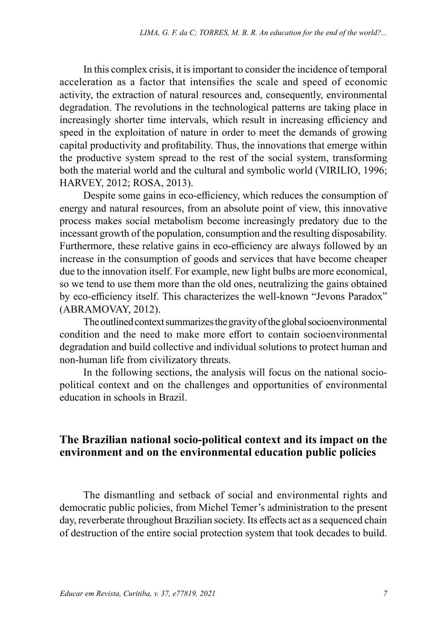In this complex crisis, it is important to consider the incidence of temporal acceleration as a factor that intensifies the scale and speed of economic activity, the extraction of natural resources and, consequently, environmental degradation. The revolutions in the technological patterns are taking place in increasingly shorter time intervals, which result in increasing efficiency and speed in the exploitation of nature in order to meet the demands of growing capital productivity and profitability. Thus, the innovations that emerge within the productive system spread to the rest of the social system, transforming both the material world and the cultural and symbolic world (VIRILIO, 1996; HARVEY, 2012; ROSA, 2013).

Despite some gains in eco-efficiency, which reduces the consumption of energy and natural resources, from an absolute point of view, this innovative process makes social metabolism become increasingly predatory due to the incessant growth of the population, consumption and the resulting disposability. Furthermore, these relative gains in eco-efficiency are always followed by an increase in the consumption of goods and services that have become cheaper due to the innovation itself. For example, new light bulbs are more economical, so we tend to use them more than the old ones, neutralizing the gains obtained by eco-efficiency itself. This characterizes the well-known "Jevons Paradox" (ABRAMOVAY, 2012).

The outlined context summarizes the gravity of the global socioenvironmental condition and the need to make more effort to contain socioenvironmental degradation and build collective and individual solutions to protect human and non-human life from civilizatory threats.

In the following sections, the analysis will focus on the national sociopolitical context and on the challenges and opportunities of environmental education in schools in Brazil.

### **The Brazilian national socio-political context and its impact on the environment and on the environmental education public policies**

The dismantling and setback of social and environmental rights and democratic public policies, from Michel Temer's administration to the present day, reverberate throughout Brazilian society. Its effects act as a sequenced chain of destruction of the entire social protection system that took decades to build.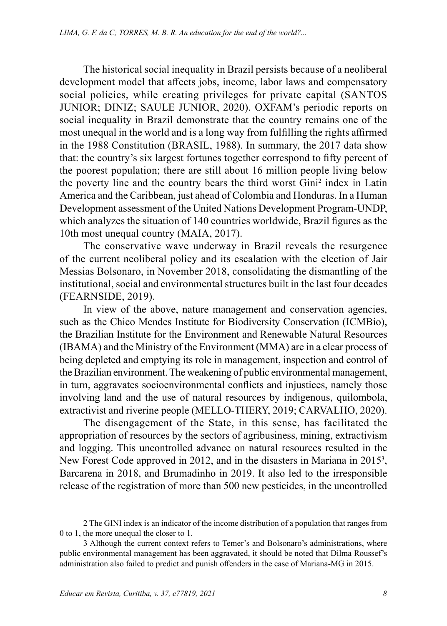The historical social inequality in Brazil persists because of a neoliberal development model that affects jobs, income, labor laws and compensatory social policies, while creating privileges for private capital (SANTOS) JUNIOR; DINIZ; SAULE JUNIOR, 2020). OXFAM's periodic reports on social inequality in Brazil demonstrate that the country remains one of the most unequal in the world and is a long way from fulfilling the rights affirmed in the 1988 Constitution (BRASIL, 1988). In summary, the 2017 data show that: the country's six largest fortunes together correspond to fifty percent of the poorest population; there are still about 16 million people living below the poverty line and the country bears the third worst Gini<sup>2</sup> index in Latin America and the Caribbean, just ahead of Colombia and Honduras. In a Human Development assessment of the United Nations Development Program-UNDP, which analyzes the situation of 140 countries worldwide, Brazil figures as the 10th most unequal country (MAIA, 2017).

The conservative wave underway in Brazil reveals the resurgence of the current neoliberal policy and its escalation with the election of Jair Messias Bolsonaro, in November 2018, consolidating the dismantling of the institutional, social and environmental structures built in the last four decades (FEARNSIDE, 2019).

In view of the above, nature management and conservation agencies, such as the Chico Mendes Institute for Biodiversity Conservation (ICMBio), the Brazilian Institute for the Environment and Renewable Natural Resources (IBAMA) and the Ministry of the Environment (MMA) are in a clear process of being depleted and emptying its role in management, inspection and control of the Brazilian environment. The weakening of public environmental management, in turn, aggravates socioenvironmental conflicts and injustices, namely those involving land and the use of natural resources by indigenous, quilombola, extractivist and riverine people (MELLO-THERY, 2019; CARVALHO, 2020).

The disengagement of the State, in this sense, has facilitated the appropriation of resources by the sectors of agribusiness, mining, extractivism and logging. This uncontrolled advance on natural resources resulted in the New Forest Code approved in 2012, and in the disasters in Mariana in 2015<sup>3</sup>, Barcarena in 2018, and Brumadinho in 2019. It also led to the irresponsible release of the registration of more than 500 new pesticides, in the uncontrolled

<sup>2</sup> The GINI index is an indicator of the income distribution of a population that ranges from 0 to 1, the more unequal the closer to 1.

<sup>3</sup> Although the current context refers to Temer's and Bolsonaro's administrations, where public environmental management has been aggravated, it should be noted that Dilma Roussef's administration also failed to predict and punish offenders in the case of Mariana-MG in 2015.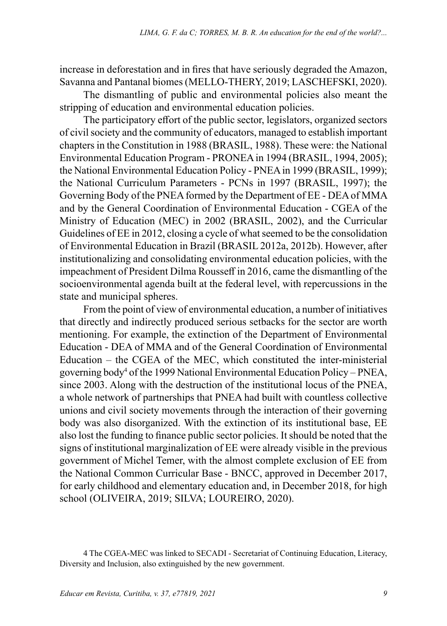increase in deforestation and in fires that have seriously degraded the Amazon, Savanna and Pantanal biomes (MELLO-THERY, 2019; LASCHEFSKI, 2020).

The dismantling of public and environmental policies also meant the stripping of education and environmental education policies.

The participatory effort of the public sector, legislators, organized sectors of civil society and the community of educators, managed to establish important chapters in the Constitution in 1988 (BRASIL, 1988). These were: the National Environmental Education Program - PRONEA in 1994 (BRASIL, 1994, 2005); the National Environmental Education Policy - PNEA in 1999 (BRASIL, 1999); the National Curriculum Parameters - PCNs in 1997 (BRASIL, 1997); the Governing Body of the PNEA formed by the Department of EE - DEA of MMA and by the General Coordination of Environmental Education - CGEA of the Ministry of Education (MEC) in 2002 (BRASIL, 2002), and the Curricular Guidelines of EE in 2012, closing a cycle of what seemed to be the consolidation of Environmental Education in Brazil (BRASIL 2012a, 2012b). However, after institutionalizing and consolidating environmental education policies, with the impeachment of President Dilma Rousseff in 2016, came the dismantling of the socioenvironmental agenda built at the federal level, with repercussions in the state and municipal spheres.

From the point of view of environmental education, a number of initiatives that directly and indirectly produced serious setbacks for the sector are worth mentioning. For example, the extinction of the Department of Environmental Education - DEA of MMA and of the General Coordination of Environmental Education – the CGEA of the MEC, which constituted the inter-ministerial governing body<sup>4</sup> of the 1999 National Environmental Education Policy – PNEA, since 2003. Along with the destruction of the institutional locus of the PNEA, a whole network of partnerships that PNEA had built with countless collective unions and civil society movements through the interaction of their governing body was also disorganized. With the extinction of its institutional base, EE also lost the funding to finance public sector policies. It should be noted that the signs of institutional marginalization of EE were already visible in the previous government of Michel Temer, with the almost complete exclusion of EE from the National Common Curricular Base - BNCC, approved in December 2017, for early childhood and elementary education and, in December 2018, for high school (OLIVEIRA, 2019; SILVA; LOUREIRO, 2020).

<sup>4</sup> The CGEA-MEC was linked to SECADI - Secretariat of Continuing Education, Literacy, Diversity and Inclusion, also extinguished by the new government.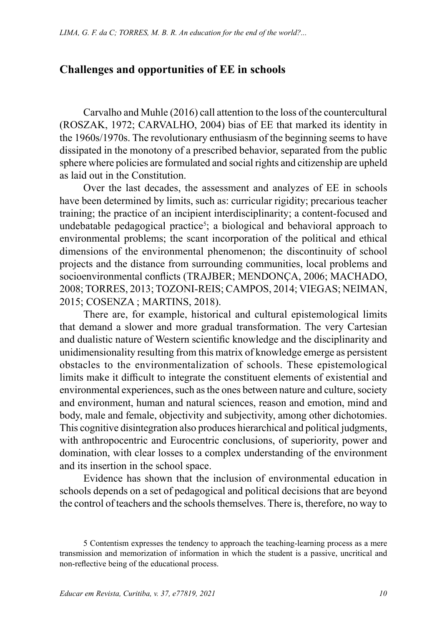### **Challenges and opportunities of EE in schools**

Carvalho and Muhle (2016) call attention to the loss of the countercultural (ROSZAK, 1972; CARVALHO, 2004) bias of EE that marked its identity in the 1960s/1970s. The revolutionary enthusiasm of the beginning seems to have dissipated in the monotony of a prescribed behavior, separated from the public sphere where policies are formulated and social rights and citizenship are upheld as laid out in the Constitution.

Over the last decades, the assessment and analyzes of EE in schools have been determined by limits, such as: curricular rigidity; precarious teacher training; the practice of an incipient interdisciplinarity; a content-focused and undebatable pedagogical practice<sup>5</sup>; a biological and behavioral approach to environmental problems; the scant incorporation of the political and ethical dimensions of the environmental phenomenon; the discontinuity of school projects and the distance from surrounding communities, local problems and socioenvironmental conflicts (TRAJBER; MENDONÇA, 2006; MACHADO, 2008; TORRES, 2013; TOZONI-REIS; CAMPOS, 2014; VIEGAS; NEIMAN, 2015; COSENZA ; MARTINS, 2018).

There are, for example, historical and cultural epistemological limits that demand a slower and more gradual transformation. The very Cartesian and dualistic nature of Western scientific knowledge and the disciplinarity and unidimensionality resulting from this matrix of knowledge emerge as persistent obstacles to the environmentalization of schools. These epistemological limits make it difficult to integrate the constituent elements of existential and environmental experiences, such as the ones between nature and culture, society and environment, human and natural sciences, reason and emotion, mind and body, male and female, objectivity and subjectivity, among other dichotomies. This cognitive disintegration also produces hierarchical and political judgments, with anthropocentric and Eurocentric conclusions, of superiority, power and domination, with clear losses to a complex understanding of the environment and its insertion in the school space.

Evidence has shown that the inclusion of environmental education in schools depends on a set of pedagogical and political decisions that are beyond the control of teachers and the schools themselves. There is, therefore, no way to

<sup>5</sup> Contentism expresses the tendency to approach the teaching-learning process as a mere transmission and memorization of information in which the student is a passive, uncritical and non-reflective being of the educational process.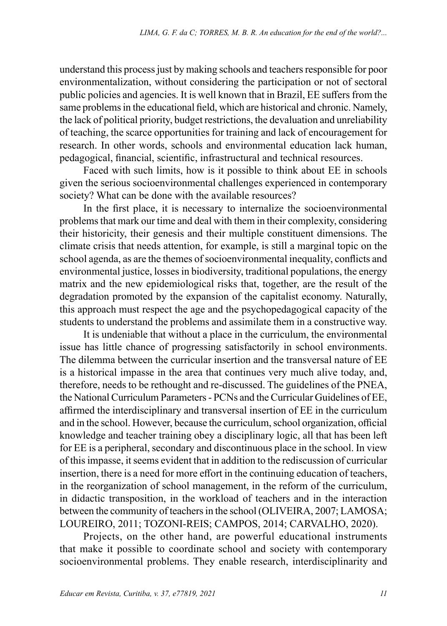understand this process just by making schools and teachers responsible for poor environmentalization, without considering the participation or not of sectoral public policies and agencies. It is well known that in Brazil, EE suffers from the same problems in the educational field, which are historical and chronic. Namely, the lack of political priority, budget restrictions, the devaluation and unreliability of teaching, the scarce opportunities for training and lack of encouragement for research. In other words, schools and environmental education lack human, pedagogical, financial, scientific, infrastructural and technical resources.

Faced with such limits, how is it possible to think about EE in schools given the serious socioenvironmental challenges experienced in contemporary society? What can be done with the available resources?

In the first place, it is necessary to internalize the socioenvironmental problems that mark our time and deal with them in their complexity, considering their historicity, their genesis and their multiple constituent dimensions. The climate crisis that needs attention, for example, is still a marginal topic on the school agenda, as are the themes of socioenvironmental inequality, conflicts and environmental justice, losses in biodiversity, traditional populations, the energy matrix and the new epidemiological risks that, together, are the result of the degradation promoted by the expansion of the capitalist economy. Naturally, this approach must respect the age and the psychopedagogical capacity of the students to understand the problems and assimilate them in a constructive way.

It is undeniable that without a place in the curriculum, the environmental issue has little chance of progressing satisfactorily in school environments. The dilemma between the curricular insertion and the transversal nature of EE is a historical impasse in the area that continues very much alive today, and, therefore, needs to be rethought and re-discussed. The guidelines of the PNEA, the National Curriculum Parameters - PCNs and the Curricular Guidelines of EE, affirmed the interdisciplinary and transversal insertion of EE in the curriculum and in the school. However, because the curriculum, school organization, official knowledge and teacher training obey a disciplinary logic, all that has been left for EE is a peripheral, secondary and discontinuous place in the school. In view of this impasse, it seems evident that in addition to the rediscussion of curricular insertion, there is a need for more effort in the continuing education of teachers, in the reorganization of school management, in the reform of the curriculum, in didactic transposition, in the workload of teachers and in the interaction between the community of teachers in the school (OLIVEIRA, 2007; LAMOSA; LOUREIRO, 2011; TOZONI-REIS; CAMPOS, 2014; CARVALHO, 2020).

Projects, on the other hand, are powerful educational instruments that make it possible to coordinate school and society with contemporary socioenvironmental problems. They enable research, interdisciplinarity and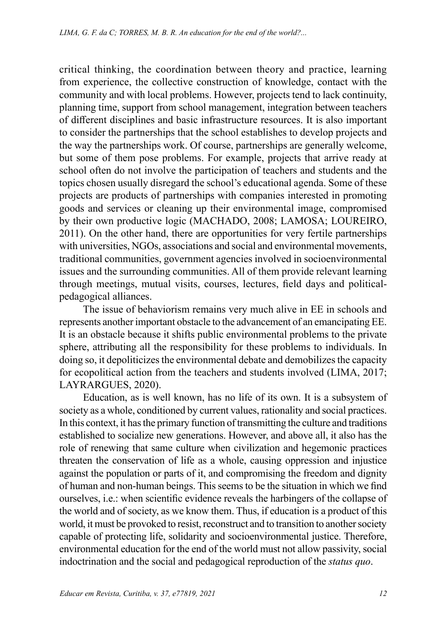critical thinking, the coordination between theory and practice, learning from experience, the collective construction of knowledge, contact with the community and with local problems. However, projects tend to lack continuity, planning time, support from school management, integration between teachers of different disciplines and basic infrastructure resources. It is also important to consider the partnerships that the school establishes to develop projects and the way the partnerships work. Of course, partnerships are generally welcome, but some of them pose problems. For example, projects that arrive ready at school often do not involve the participation of teachers and students and the topics chosen usually disregard the school's educational agenda. Some of these projects are products of partnerships with companies interested in promoting goods and services or cleaning up their environmental image, compromised by their own productive logic (MACHADO, 2008; LAMOSA; LOUREIRO, 2011). On the other hand, there are opportunities for very fertile partnerships with universities, NGOs, associations and social and environmental movements, traditional communities, government agencies involved in socioenvironmental issues and the surrounding communities. All of them provide relevant learning through meetings, mutual visits, courses, lectures, field days and politicalpedagogical alliances.

The issue of behaviorism remains very much alive in EE in schools and represents another important obstacle to the advancement of an emancipating EE. It is an obstacle because it shifts public environmental problems to the private sphere, attributing all the responsibility for these problems to individuals. In doing so, it depoliticizes the environmental debate and demobilizes the capacity for ecopolitical action from the teachers and students involved (LIMA, 2017; LAYRARGUES, 2020).

Education, as is well known, has no life of its own. It is a subsystem of society as a whole, conditioned by current values, rationality and social practices. In this context, it has the primary function of transmitting the culture and traditions established to socialize new generations. However, and above all, it also has the role of renewing that same culture when civilization and hegemonic practices threaten the conservation of life as a whole, causing oppression and injustice against the population or parts of it, and compromising the freedom and dignity of human and non-human beings. This seems to be the situation in which we find ourselves, i.e.: when scientific evidence reveals the harbingers of the collapse of the world and of society, as we know them. Thus, if education is a product of this world, it must be provoked to resist, reconstruct and to transition to another society capable of protecting life, solidarity and socioenvironmental justice. Therefore, environmental education for the end of the world must not allow passivity, social indoctrination and the social and pedagogical reproduction of the *status quo*.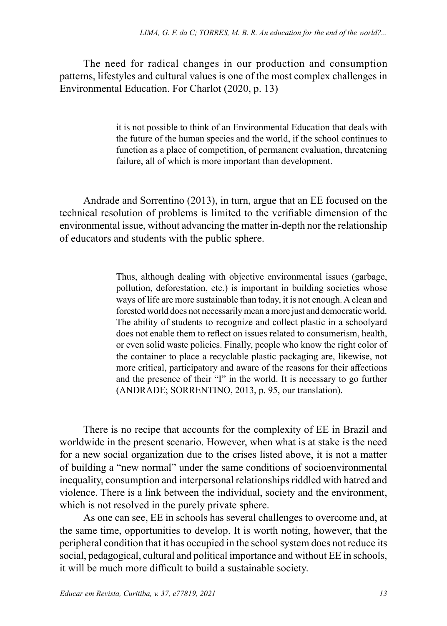The need for radical changes in our production and consumption patterns, lifestyles and cultural values is one of the most complex challenges in Environmental Education. For Charlot (2020, p. 13)

> it is not possible to think of an Environmental Education that deals with the future of the human species and the world, if the school continues to function as a place of competition, of permanent evaluation, threatening failure, all of which is more important than development.

Andrade and Sorrentino (2013), in turn, argue that an EE focused on the technical resolution of problems is limited to the verifiable dimension of the environmental issue, without advancing the matter in-depth nor the relationship of educators and students with the public sphere.

> Thus, although dealing with objective environmental issues (garbage, pollution, deforestation, etc.) is important in building societies whose ways of life are more sustainable than today, it is not enough. A clean and forested world does not necessarily mean a more just and democratic world. The ability of students to recognize and collect plastic in a schoolyard does not enable them to reflect on issues related to consumerism, health, or even solid waste policies. Finally, people who know the right color of the container to place a recyclable plastic packaging are, likewise, not more critical, participatory and aware of the reasons for their affections and the presence of their "I" in the world. It is necessary to go further (ANDRADE; SORRENTINO, 2013, p. 95, our translation).

There is no recipe that accounts for the complexity of EE in Brazil and worldwide in the present scenario. However, when what is at stake is the need for a new social organization due to the crises listed above, it is not a matter of building a "new normal" under the same conditions of socioenvironmental inequality, consumption and interpersonal relationships riddled with hatred and violence. There is a link between the individual, society and the environment, which is not resolved in the purely private sphere.

As one can see, EE in schools has several challenges to overcome and, at the same time, opportunities to develop. It is worth noting, however, that the peripheral condition that it has occupied in the school system does not reduce its social, pedagogical, cultural and political importance and without EE in schools, it will be much more difficult to build a sustainable society.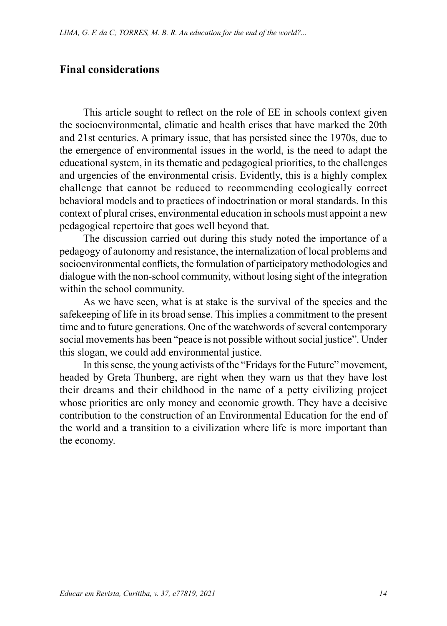### **Final considerations**

This article sought to reflect on the role of EE in schools context given the socioenvironmental, climatic and health crises that have marked the 20th and 21st centuries. A primary issue, that has persisted since the 1970s, due to the emergence of environmental issues in the world, is the need to adapt the educational system, in its thematic and pedagogical priorities, to the challenges and urgencies of the environmental crisis. Evidently, this is a highly complex challenge that cannot be reduced to recommending ecologically correct behavioral models and to practices of indoctrination or moral standards. In this context of plural crises, environmental education in schools must appoint a new pedagogical repertoire that goes well beyond that.

The discussion carried out during this study noted the importance of a pedagogy of autonomy and resistance, the internalization of local problems and socioenvironmental conflicts, the formulation of participatory methodologies and dialogue with the non-school community, without losing sight of the integration within the school community.

As we have seen, what is at stake is the survival of the species and the safekeeping of life in its broad sense. This implies a commitment to the present time and to future generations. One of the watchwords of several contemporary social movements has been "peace is not possible without social justice". Under this slogan, we could add environmental justice.

In this sense, the young activists of the "Fridays for the Future" movement, headed by Greta Thunberg, are right when they warn us that they have lost their dreams and their childhood in the name of a petty civilizing project whose priorities are only money and economic growth. They have a decisive contribution to the construction of an Environmental Education for the end of the world and a transition to a civilization where life is more important than the economy.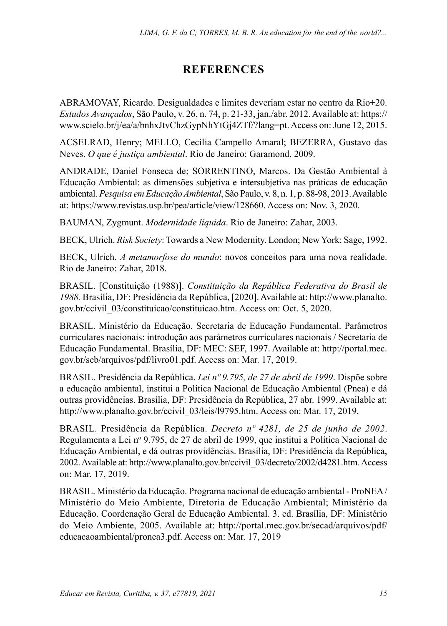## **REFERENCES**

ABRAMOVAY, Ricardo. Desigualdades e limites deveriam estar no centro da Rio+20. *Estudos Avançados*, São Paulo, v. 26, n. 74, p. 21-33, jan./abr. 2012. Available at: https:// www.scielo.br/j/ea/a/bnhxJtvChzGypNhYtGj4ZTf/?lang=pt. Access on: June 12, 2015.

ACSELRAD, Henry; MELLO, Cecília Campello Amaral; BEZERRA, Gustavo das Neves. *O que é justiça ambiental*. Rio de Janeiro: Garamond, 2009.

ANDRADE, Daniel Fonseca de; SORRENTINO, Marcos. Da Gestão Ambiental à Educação Ambiental: as dimensões subjetiva e intersubjetiva nas práticas de educação ambiental. *Pesquisa em Educação Ambiental*, São Paulo, v. 8, n. 1, p. 88-98, 2013. Available at: https://www.revistas.usp.br/pea/article/view/128660. Access on: Nov. 3, 2020.

BAUMAN, Zygmunt. *Modernidade líquida*. Rio de Janeiro: Zahar, 2003.

BECK, Ulrich. *Risk Society*: Towards a New Modernity. London; New York: Sage, 1992.

BECK, Ulrich. *A metamorfose do mundo*: novos conceitos para uma nova realidade. Rio de Janeiro: Zahar, 2018.

BRASIL. [Constituição (1988)]. *Constituição da República Federativa do Brasil de 1988.* Brasília, DF: Presidência da República, [2020]. Available at: [http://www.planalto.](http://www.planalto.gov.br/ccivil_03/constituicao/constituicao.htm) [gov.br/ccivil\\_03/constituicao/constituicao.htm.](http://www.planalto.gov.br/ccivil_03/constituicao/constituicao.htm) Access on: Oct. 5, 2020.

BRASIL. Ministério da Educação. Secretaria de Educação Fundamental. Parâmetros curriculares nacionais: introdução aos parâmetros curriculares nacionais / Secretaria de Educação Fundamental. Brasília, DF: MEC: SEF, 1997. Available at: http://portal.mec. gov.br/seb/arquivos/pdf/livro01.pdf. Access on: Mar. 17, 2019.

BRASIL. Presidência da República. *Lei nº 9.795, de 27 de abril de 1999*. Dispõe sobre a educação ambiental, institui a Política Nacional de Educação Ambiental (Pnea) e dá outras providências. Brasília, DF: Presidência da República, 27 abr. 1999. Available at: http://www.planalto.gov.br/ccivil 03/leis/l9795.htm. Access on: Mar. 17, 2019.

BRASIL. Presidência da República. *Decreto nº 4281, de 25 de junho de 2002*. Regulamenta a Lei nº 9.795, de 27 de abril de 1999, que institui a Política Nacional de Educação Ambiental, e dá outras providências. Brasília, DF: Presidência da República, 2002. Available at: http://www.planalto.gov.br/ccivil\_03/decreto/2002/d4281.htm. Access on: Mar. 17, 2019.

BRASIL. Ministério da Educação. Programa nacional de educação ambiental - ProNEA / Ministério do Meio Ambiente, Diretoria de Educação Ambiental; Ministério da Educação. Coordenação Geral de Educação Ambiental. 3. ed. Brasília, DF: Ministério do Meio Ambiente, 2005. Available at: [http://portal.mec.gov.br/secad/arquivos/pdf/](http://portal.mec.gov.br/secad/arquivos/pdf/educacaoambiental/pronea3.pdf) [educacaoambiental/pronea3.pdf](http://portal.mec.gov.br/secad/arquivos/pdf/educacaoambiental/pronea3.pdf). Access on: Mar. 17, 2019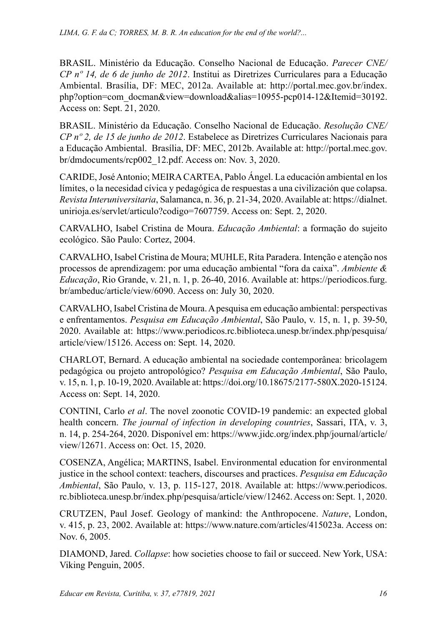BRASIL. Ministério da Educação. Conselho Nacional de Educação. *Parecer CNE/ CP nº 14, de 6 de junho de 2012*. Institui as Diretrizes Curriculares para a Educação Ambiental. Brasília, DF: MEC, 2012a. Available at: [http://portal.mec.gov.br/index.](http://portal.mec.gov.br/index.php?option=com_docman&view=download&alias=10955-pcp014-12&Itemid=30192) [php?option=com\\_docman&view=download&alias=10955-pcp014-12&Itemid=30192](http://portal.mec.gov.br/index.php?option=com_docman&view=download&alias=10955-pcp014-12&Itemid=30192). Access on: Sept. 21, 2020.

BRASIL. Ministério da Educação. Conselho Nacional de Educação. *Resolução CNE/ CP nº 2, de 15 de junho de 2012*. Estabelece as Diretrizes Curriculares Nacionais para a Educação Ambiental. Brasília, DF: MEC, 2012b. Available at: [http://portal.mec.gov.](http://portal.mec.gov.br/dmdocuments/rcp002_12.pdf) [br/dmdocuments/rcp002\\_12.pdf](http://portal.mec.gov.br/dmdocuments/rcp002_12.pdf). Access on: Nov. 3, 2020.

CARIDE, José Antonio; MEIRA CARTEA, Pablo Ángel. La educación ambiental en los límites, o la necesidad cívica y pedagógica de respuestas a una civilización que colapsa. *Revista Interuniversitaria*, Salamanca, n. 36, p. 21-34, 2020. Available at: [https://dialnet.](https://dialnet.unirioja.es/servlet/articulo?codigo=7607759) [unirioja.es/servlet/articulo?codigo=7607759.](https://dialnet.unirioja.es/servlet/articulo?codigo=7607759) Access on: Sept. 2, 2020.

CARVALHO, Isabel Cristina de Moura. *Educação Ambiental*: a formação do sujeito ecológico. São Paulo: Cortez, 2004.

CARVALHO, Isabel Cristina de Moura; MUHLE, Rita Paradera. Intenção e atenção nos processos de aprendizagem: por uma educação ambiental "fora da caixa". *Ambiente & Educação*, Rio Grande, v. 21, n. 1, p. 26-40, 2016. Available at: [https://periodicos.furg.](https://periodicos.furg.br/ambeduc/article/view/6090) [br/ambeduc/article/view/6090.](https://periodicos.furg.br/ambeduc/article/view/6090) Access on: July 30, 2020.

CARVALHO, Isabel Cristina de Moura. A pesquisa em educação ambiental: perspectivas e enfrentamentos. *Pesquisa em Educação Ambiental*, São Paulo, v. 15, n. 1, p. 39-50, 2020. Available at: https://www.periodicos.rc.biblioteca.unesp.br/index.php/pesquisa/ article/view/15126. Access on: Sept. 14, 2020.

CHARLOT, Bernard. A educação ambiental na sociedade contemporânea: bricolagem pedagógica ou projeto antropológico? *Pesquisa em Educação Ambiental*, São Paulo, v. 15, n. 1, p. 10-19, 2020. Available at:<https://doi.org/10.18675/2177-580X.2020-15124>. Access on: Sept. 14, 2020.

CONTINI, Carlo *et al*. The novel zoonotic COVID-19 pandemic: an expected global health concern. *The journal of infection in developing countries*, Sassari, ITA, v. 3, n. 14, p. 254-264, 2020. Disponível em: [https://www.jidc.org/index.php/journal/article/](https://www.jidc.org/index.php/journal/article/view/12671) [view/12671](https://www.jidc.org/index.php/journal/article/view/12671). Access on: Oct. 15, 2020.

COSENZA, Angélica; MARTINS, Isabel. Environmental education for environmental justice in the school context: teachers, discourses and practices. *Pesquisa em Educação Ambiental*, São Paulo, v. 13, p. 115-127, 2018. Available at: https://www.periodicos. rc.biblioteca.unesp.br/index.php/pesquisa/article/view/12462. Access on: Sept. 1, 2020.

CRUTZEN, Paul Josef. Geology of mankind: the Anthropocene. *Nature*, London, v. 415, p. 23, 2002. Available at: [https://www.nature.com/articles/415023a.](https://www.nature.com/articles/415023a) Access on: Nov. 6, 2005.

DIAMOND, Jared. *Collapse*: how societies choose to fail or succeed. New York, USA: Viking Penguin, 2005.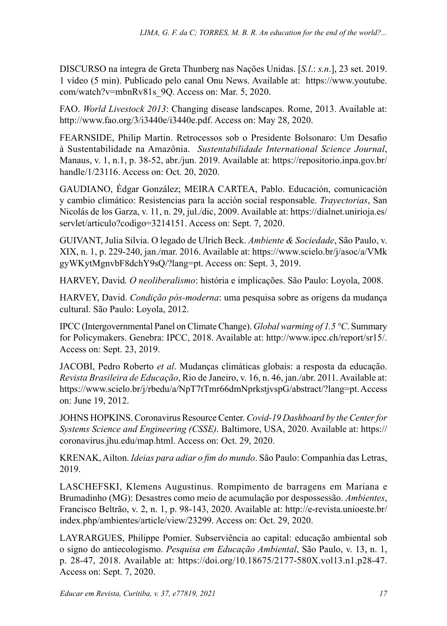DISCURSO na íntegra de Greta Thunberg nas Nações Unidas. [*S.l*.: *s.n*.], 23 set. 2019. 1 vídeo (5 min). Publicado pelo canal Onu News. Available at: https://www.youtube. com/watch?v=mbnRv81s\_9Q. Access on: Mar. 5, 2020.

FAO. *World Livestock 2013*: Changing disease landscapes. Rome, 2013. Available at: <http://www.fao.org/3/i3440e/i3440e.pdf>. Access on: May 28, 2020.

FEARNSIDE, Philip Martin. Retrocessos sob o Presidente Bolsonaro: Um Desafio à Sustentabilidade na Amazônia. *Sustentabilidade International Science Journal*, Manaus, v. 1, n.1, p. 38-52, abr./jun. 2019. Available at: [https://repositorio.inpa.gov.br/](https://repositorio.inpa.gov.br/handle/1/23116) [handle/1/23116](https://repositorio.inpa.gov.br/handle/1/23116). Access on: Oct. 20, 2020.

GAUDIANO, Édgar González; MEIRA CARTEA, Pablo. Educación, comunicación y cambio climático: Resistencias para la acción social responsable. *Trayectorias*, San Nicolás de los Garza, v. 11, n. 29, jul./dic, 2009. Available at: https://dialnet.unirioja.es/ servlet/articulo?codigo=3214151. Access on: Sept. 7, 2020.

GUIVANT, Julia Silvia. O legado de Ulrich Beck. *Ambiente & Sociedade*, São Paulo, v. XIX, n. 1, p. 229-240, jan./mar. 2016. Available at: [https://www.scielo.br/j/asoc/a/VMk](https://www.scielo.br/j/asoc/a/VMkgyWKytMgnvbF8dchY9sQ/?lang=pt) [gyWKytMgnvbF8dchY9sQ/?lang=pt](https://www.scielo.br/j/asoc/a/VMkgyWKytMgnvbF8dchY9sQ/?lang=pt). Access on: Sept. 3, 2019.

HARVEY, David*. O neoliberalismo*: história e implicações. São Paulo: Loyola, 2008.

HARVEY, David. *Condição pós-moderna*: uma pesquisa sobre as origens da mudança cultural. São Paulo: Loyola, 2012.

IPCC (Intergovernmental Panel on Climate Change). *Global warming of 1.5 °C*. Summary for Policymakers. Genebra: IPCC, 2018. Available at:<http://www.ipcc.ch/report/sr15/>. Access on: Sept. 23, 2019.

JACOBI, Pedro Roberto *et al*. Mudanças climáticas globais: a resposta da educação. *Revista Brasileira de Educação*, Rio de Janeiro, v. 16, n. 46, jan./abr. 2011. Available at: <https://www.scielo.br/j/rbedu/a/NpT7tTmr66dmNprkstjvspG/abstract/?lang=pt.>Access on: June 19, 2012.

JOHNS HOPKINS. Coronavirus Resource Center. *Covid-19 Dashboard by the Center for Systems Science and Engineering (CSSE)*. Baltimore, USA, 2020. Available at: [https://](https://coronavirus.jhu.edu/map.html) [coronavirus.jhu.edu/map.html.](https://coronavirus.jhu.edu/map.html) Access on: Oct. 29, 2020.

KRENAK, Ailton. *Ideias para adiar o fim do mundo*. São Paulo: Companhia das Letras, 2019.

LASCHEFSKI, Klemens Augustinus. Rompimento de barragens em Mariana e Brumadinho (MG): Desastres como meio de acumulação por despossessão. *Ambientes*, Francisco Beltrão, v. 2, n. 1, p. 98-143, 2020. Available at: [http://e-revista.unioeste.br/](http://e-revista.unioeste.br/index.php/ambientes/article/view/23299) [index.php/ambientes/article/view/23299](http://e-revista.unioeste.br/index.php/ambientes/article/view/23299). Access on: Oct. 29, 2020.

LAYRARGUES, Philippe Pomier. Subserviência ao capital: educação ambiental sob o signo do antiecologismo. *Pesquisa em Educação Ambiental*, São Paulo, v. 13, n. 1, p. 28-47, 2018. Available at: <https://doi.org/10.18675/2177-580X.vol13.n1.p28-47>. Access on: Sept. 7, 2020.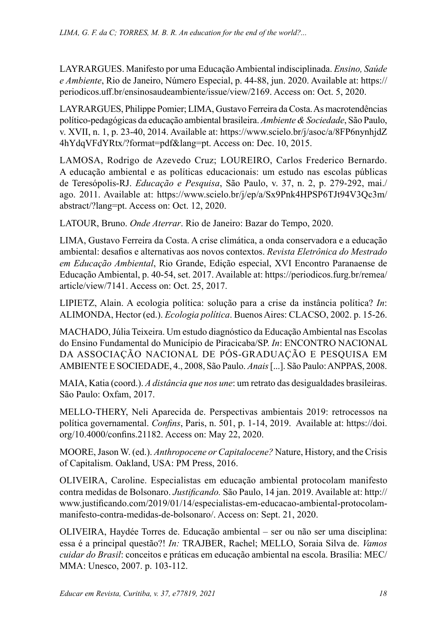LAYRARGUES. Manifesto por uma Educação Ambiental indisciplinada. *Ensino, Saúde e Ambiente*, Rio de Janeiro, Número Especial, p. 44-88, jun. 2020. Available at: [https://](https://periodicos.uff.br/ensinosaudeambiente/issue/view/2169) [periodicos.uff.br/ensinosaudeambiente/issue/view/2169.](https://periodicos.uff.br/ensinosaudeambiente/issue/view/2169) Access on: Oct. 5, 2020.

LAYRARGUES, Philippe Pomier; LIMA, Gustavo Ferreira da Costa. As macrotendências político-pedagógicas da educação ambiental brasileira. *Ambiente & Sociedade*, São Paulo, v. XVII, n. 1, p. 23-40, 2014. Available at: [https://www.scielo.br/j/asoc/a/8FP6nynhjdZ](https://www.scielo.br/j/asoc/a/8FP6nynhjdZ4hYdqVFdYRtx/?format=pdf&lang=pt) [4hYdqVFdYRtx/?format=pdf&lang=pt.](https://www.scielo.br/j/asoc/a/8FP6nynhjdZ4hYdqVFdYRtx/?format=pdf&lang=pt) Access on: Dec. 10, 2015.

LAMOSA, Rodrigo de Azevedo Cruz; LOUREIRO, Carlos Frederico Bernardo. A educação ambiental e as políticas educacionais: um estudo nas escolas públicas de Teresópolis-RJ. *Educação e Pesquisa*, São Paulo, v. 37, n. 2, p. 279-292, mai./ ago. 2011. Available at: [https://www.scielo.br/j/ep/a/Sx9Pnk4HPSP6TJt94V3Qc3m/](https://www.scielo.br/j/ep/a/Sx9Pnk4HPSP6TJt94V3Qc3m/abstract/?lang=pt) [abstract/?lang=pt.](https://www.scielo.br/j/ep/a/Sx9Pnk4HPSP6TJt94V3Qc3m/abstract/?lang=pt) Access on: Oct. 12, 2020.

LATOUR, Bruno. *Onde Aterrar*. Rio de Janeiro: Bazar do Tempo, 2020.

LIMA, Gustavo Ferreira da Costa. A crise climática, a onda conservadora e a educação ambiental: desafios e alternativas aos novos contextos. *Revista Eletrônica do Mestrado em Educação Ambiental*, Rio Grande, Edição especial, XVI Encontro Paranaense de Educação Ambiental, p. 40-54, set. 2017. Available at: [https://periodicos.furg.br/remea/](https://periodicos.furg.br/remea/article/view/7141) [article/view/7141.](https://periodicos.furg.br/remea/article/view/7141) Access on: Oct. 25, 2017.

LIPIETZ, Alain. A ecologia política: solução para a crise da instância política? *In*: ALIMONDA, Hector (ed.). *Ecologia política*. Buenos Aires: CLACSO, 2002. p. 15-26.

MACHADO, Júlia Teixeira. Um estudo diagnóstico da Educação Ambiental nas Escolas do Ensino Fundamental do Município de Piracicaba/SP. *In*: ENCONTRO NACIONAL DA ASSOCIAÇÃO NACIONAL DE PÓS-GRADUAÇÃO E PESQUISA EM AMBIENTE E SOCIEDADE, 4., 2008, São Paulo. *Anais* [...]. São Paulo: ANPPAS, 2008.

MAIA, Katia (coord.). *A distância que nos une*: um retrato das desigualdades brasileiras. São Paulo: Oxfam, 2017.

MELLO-THERY, Neli Aparecida de. Perspectivas ambientais 2019: retrocessos na política governamental. *Confins*, Paris, n. 501, p. 1-14, 2019. Available at: https://doi. org/10.4000/confins.21182. Access on: May 22, 2020.

MOORE, Jason W. (ed.). *Anthropocene or Capitalocene?* Nature, History, and the Crisis of Capitalism. Oakland, USA: PM Press, 2016.

[OLIVEIRA, Caroline. Especialistas em educação ambiental protocolam manifesto](http://www.justificando.com/2019/01/14/especialistas-em-educacao-ambiental-protocolam-manifesto-contra-medidas-de-bolsonaro/)  [contra medidas de Bolsonaro](http://www.justificando.com/2019/01/14/especialistas-em-educacao-ambiental-protocolam-manifesto-contra-medidas-de-bolsonaro/). *Justificando.* São Paulo, 14 jan. 2019. Available at: [http://](http://www.justificando.com/2019/01/14/especialistas-em-educacao-ambiental-protocolam-manifesto-contra-medidas-de-bolsonaro/) [www.justificando.com/2019/01/14/especialistas-em-educacao-ambiental-protocolam](http://www.justificando.com/2019/01/14/especialistas-em-educacao-ambiental-protocolam-manifesto-contra-medidas-de-bolsonaro/)[manifesto-contra-medidas-de-bolsonaro/](http://www.justificando.com/2019/01/14/especialistas-em-educacao-ambiental-protocolam-manifesto-contra-medidas-de-bolsonaro/). Access on: Sept. 21, 2020.

OLIVEIRA, Haydée Torres de. Educação ambiental – ser ou não ser uma disciplina: essa é a principal questão?! *In:* TRAJBER, Rachel; MELLO, Soraia Silva de. *Vamos cuidar do Brasil*: conceitos e práticas em educação ambiental na escola. Brasília: MEC/ MMA: Unesco, 2007. p. 103-112.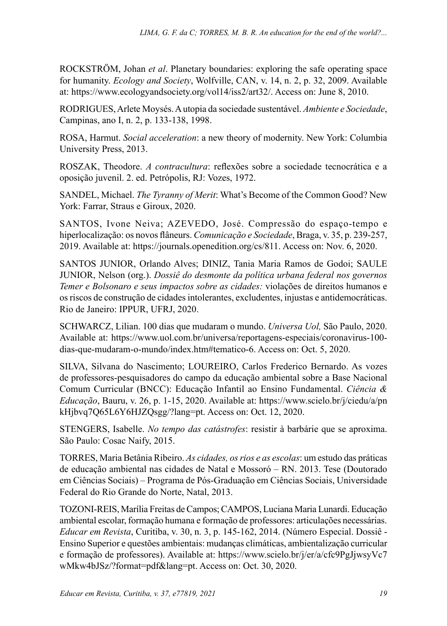ROCKSTRÖM, Johan *et al*. Planetary boundaries: exploring the safe operating space for humanity. *Ecology and Society*, Wolfville, CAN, v. 14, n. 2, p. 32, 2009. Available at: [https://www.ecologyandsociety.org/vol14/iss2/art32/.](https://www.ecologyandsociety.org/vol14/iss2/art32/) Access on: June 8, 2010.

RODRIGUES, Arlete Moysés. A utopia da sociedade sustentável. *Ambiente e Sociedade*, Campinas, ano I, n. 2, p. 133-138, 1998.

ROSA, Harmut. *Social acceleration*: a new theory of modernity. New York: Columbia University Press, 2013.

ROSZAK, Theodore. *A contracultura*: reflexões sobre a sociedade tecnocrática e a oposição juvenil. 2. ed. Petrópolis, RJ: Vozes, 1972.

SANDEL, Michael. *The Tyranny of Merit*: What's Become of the Common Good? New York: Farrar, Straus e Giroux, 2020.

SANTOS, Ivone Neiva; AZEVEDO, José. Compressão do espaço-tempo e hiperlocalização: os novos flâneurs. *Comunicação e Sociedade*, Braga, v. 35, p. 239-257, 2019. Available at: [https://journals.openedition.org/cs/811.](https://journals.openedition.org/cs/811) Access on: Nov. 6, 2020.

SANTOS JUNIOR, Orlando Alves; DINIZ, Tania Maria Ramos de Godoi; SAULE JUNIOR, Nelson (org.). *Dossiê do desmonte da política urbana federal nos governos Temer e Bolsonaro e seus impactos sobre as cidades:* violações de direitos humanos e os riscos de construção de cidades intolerantes, excludentes, injustas e antidemocráticas. Rio de Janeiro: IPPUR, UFRJ, 2020.

SCHWARCZ, Lilian. 100 dias que mudaram o mundo. *Universa Uol,* São Paulo, 2020. Available at: [https://www.uol.com.br/universa/reportagens-especiais/coronavirus-100](https://www.uol.com.br/universa/reportagens-especiais/coronavirus-100-dias-que-mudaram-o-mundo/index.htm#tematico-6) [dias-que-mudaram-o-mundo/index.htm#tematico-6](https://www.uol.com.br/universa/reportagens-especiais/coronavirus-100-dias-que-mudaram-o-mundo/index.htm#tematico-6). Access on: Oct. 5, 2020.

SILVA, Silvana do Nascimento; LOUREIRO, Carlos Frederico Bernardo. As vozes de professores-pesquisadores do campo da educação ambiental sobre a Base Nacional Comum Curricular (BNCC): Educação Infantil ao Ensino Fundamental. *Ciência & Educação*, Bauru, v. 26, p. 1-15, 2020. Available at: [https://www.scielo.br/j/ciedu/a/pn](https://www.scielo.br/j/ciedu/a/pnkHjbvq7Q65L6Y6HJZQsgg/?lang=pt) [kHjbvq7Q65L6Y6HJZQsgg/?lang=pt](https://www.scielo.br/j/ciedu/a/pnkHjbvq7Q65L6Y6HJZQsgg/?lang=pt). Access on: Oct. 12, 2020.

STENGERS, Isabelle. *No tempo das catástrofes*: resistir à barbárie que se aproxima. São Paulo: Cosac Naify, 2015.

TORRES, Maria Betânia Ribeiro. *As cidades, os rios e as escolas*: um estudo das práticas de educação ambiental nas cidades de Natal e Mossoró – RN. 2013. Tese (Doutorado em Ciências Sociais) – Programa de Pós-Graduação em Ciências Sociais, Universidade Federal do Rio Grande do Norte, Natal, 2013.

TOZONI-REIS, Marília Freitas de Campos; CAMPOS, Luciana Maria Lunardi. Educação ambiental escolar, formação humana e formação de professores: articulações necessárias. *Educar em Revista*, Curitiba, v. 30, n. 3, p. 145-162, 2014. (Número Especial. Dossiê - Ensino Superior e questões ambientais: mudanças climáticas, ambientalização curricular e formação de professores). Available at: [https://www.scielo.br/j/er/a/cfc9PgJjwsyVc7](https://www.scielo.br/j/er/a/cfc9PgJjwsyVc7wMkw4bJSz/?format=pdf&lang=pt) [wMkw4bJSz/?format=pdf&lang=pt.](https://www.scielo.br/j/er/a/cfc9PgJjwsyVc7wMkw4bJSz/?format=pdf&lang=pt) Access on: Oct. 30, 2020.